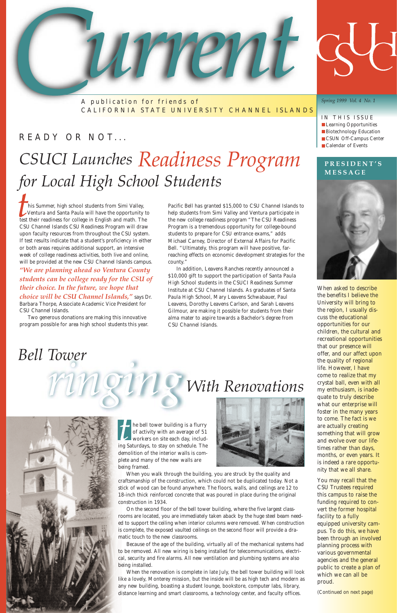### READY OR NOT...

# *CSUCI Launches Readiness Program for Local High School Students*

IN THIS ISSUE **Learning Opportunities Biotechnology Education CSUN Off-Campus Center** Calendar of Events



A publication for friends of CALIFORNIA STATE UNIVERSITY CHANNEL ISLANDS

*Spring 1999 Vol. 4 No. 1*

he bell tower building is a flurry of activity with an average of 51 workers on site each day, including Saturdays, to stay on schedule. The

demolition of the interior walls is complete and many of the new walls are

being framed.

When you walk through the building, you are struck by the quality and craftsmanship of the construction, which could not be duplicated today. Not a stick of wood can be found anywhere. The floors, walls, and ceilings are 12 to 18-inch thick reinforced concrete that was poured in place during the original construction in 1934.

On the second floor of the bell tower building, where the five largest classrooms are located, you are immediately taken aback by the huge steel beam needed to support the ceiling when interior columns were removed. When construction is complete, the exposed vaulted ceilings on the second floor will provide a dramatic touch to the new classrooms.

Because of the age of the building, virtually all of the mechanical systems had to be removed. All new wiring is being installed for telecommunications, electrical, security and fire alarms. All new ventilation and plumbing systems are also being installed.

When the renovation is complete in late July, the bell tower building will look like a lovely, Monterey mission, but the inside will be as high tech and modern as any new building, boasting a student lounge, bookstore, computer labs, library, distance learning and smart classrooms, a technology center, and faculty offices.

### *Bell Tower*

his Summer, high school students from Simi Valley, Ventura and Santa Paula will have the opportunity to test their readiness for college in English and math. The CSU Channel Islands CSU Readiness Program will draw upon faculty resources from throughout the CSU system. If test results indicate that a student's proficiency in either or both areas requires additional support, an intensive week of college readiness activities, both live and online, will be provided at the new CSU Channel Islands campus.

*"We are planning ahead so Ventura County students can be college ready for the CSU of their choice. In the future, we hope that choice will be CSU Channel Islands,"* says Dr. Barbara Thorpe, Associate Academic Vice President for CSU Channel Islands.

Two generous donations are making this innovative program possible for area high school students this year. Pacific Bell has granted \$15,000 to CSU Channel Islands to help students from Simi Valley and Ventura participate in the new college readiness program "The CSU Readiness Program is a tremendous opportunity for college-bound students to prepare for CSU entrance exams," adds Michael Carney, Director of External Affairs for Pacific Bell. "Ultimately, this program will have positive, farreaching effects on economic development strategies for the county."

In addition, Leavens Ranches recently announced a \$10,000 gift to support the participation of Santa Paula High School students in the CSUCI Readiness Summer Institute at CSU Channel Islands. As graduates of Santa Paula High School, Mary Leavens Schwabauer, Paul Leavens, Dorothy Leavens Carlson, and Sarah Leavens Gilmour, are making it possible for students from their alma mater to aspire towards a Bachelor's degree from CSU Channel Islands.

# *With Renovations*



When asked to describe the benefits I believe the University will bring to the region, I usually discuss the educational opportunities for our children, the cultural and recreational opportunities that our presence will offer, and our affect upon the quality of regional life. However, I have come to realize that my crystal ball, even with all my enthusiasm, is inadequate to truly describe what our enterprise will foster in the many years to come. The fact is we are actually creating something that will grow and evolve over our lifetimes rather than days, months, or even years. It is indeed a rare opportunity that we all share. You may recall that the CSU Trustees required this campus to raise the funding required to convert the former hospital facility to a fully equipped university campus. To do this, we have been through an involved planning process with various governmental agencies and the general public to create a plan of which we can all be proud.

*(Continued on next page)*

### **PRESIDENT'S MESSAGE**

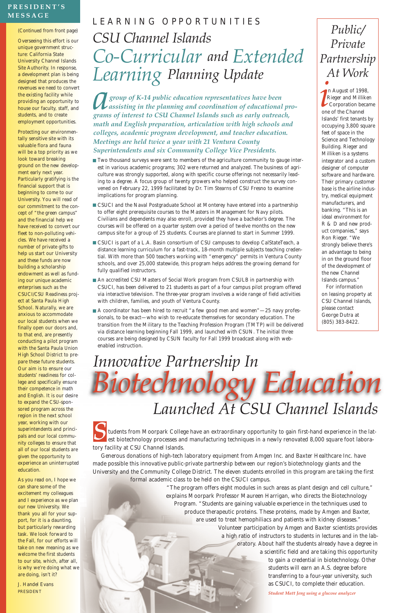tudents from Moorpark College have an extraordinary opportunity to gain first-hand experience in the latest biotechnology processes and manufacturing techniques in a newly renovated 8,000 square foot laboratory facility at CSU Channel Islands.

Generous donations of high-tech laboratory equipment from Amgen Inc. and Baxter Healthcare Inc. have made possible this innovative public-private partnership between our region's biotechnology giants and the University and the Community College District. The eleven students enrolled in this program are taking the first formal academic class to be held on the CSUCI campus.

> "The program offers eight modules in such areas as plant design and cell culture," explains Moorpark Professor Maureen Harrigan, who directs the Biotechnology Program. "Students are gaining valuable experience in the techniques used to produce therapeutic proteins. These proteins, made by Amgen and Baxter, are used to treat hemophiliacs and patients with kidney diseases."

> > Volunteer participation by Amgen and Baxter scientists provides a high ratio of instructors to students in lectures and in the laboratory. About half the students already have a degree in a scientific field and are taking this opportunity to gain a credential in biotechnology. Other students will earn an A.S. degree before transferring to a four-year university, such as CSUCI, to complete their education.

> > > *Student Matt Jeng using a glucose analyzer*

#### *(Continued from front page)*

Overseeing this effort is our unique government structure: California State University Channel Islands Site Authority. In response, a development plan is being designed that produces the revenues we need to convert the existing facility while providing an opportunity to house our faculty, staff, and students, and to create employment opportunities.

Protecting our environmentally sensitive site with its valuable flora and fauna will be a top priority as we look toward breaking ground on the new development early next year. Particularly gratifying is the financial support that is beginning to come to our University. You will read of our commitment to the concept of "the green campus" and the financial help we have received to convert our fleet to non-polluting vehicles. We have received a number of private gifts to help us start our University and these funds are now building a scholarship endowment as well as funding our unique academic enterprises such as the CSUCI/CSU Readiness project at Santa Paula High School. Naturally, we are anxious to accommodate our local students when we finally open our doors and, to that end, are presently conducting a pilot program with the Santa Paula Union High School District to prepare these future students. Our aim is to ensure our students' readiness for college and specifically ensure their competence in math and English. It is our desire to expand the CSU-sponsored program across the region in the next school year, working with our superintendents and principals and our local community colleges to ensure that

all of our local students are given the opportunity to experience an uninterrupted education.

As you read on, I hope we can share some of the excitement my colleagues and I experience as we plan our new University. We thank you all for your support, for it is a daunting, but particularly rewarding task. We look forward to the Fall, for our efforts will take on new meaning as we welcome the first students to our site, which, after all, is why we're doing what we are doing, isn't it?

*J. Handel Evans* PRESIDENT

# *Launched At CSU Channel Islands Innovative Partnership In Biotechnology Education*

*group of K-14 public education representatives have been assisting in the planning and coordination of educational programs of interest to CSU Channel Islands such as early outreach, math and English preparation, articulation with high schools and colleges, academic program development, and teacher education. Meetings are held twice a year with 21 Ventura County Superintendents and six Community College Vice Presidents.*

- Two thousand surveys were sent to members of the agriculture community to gauge interest in various academic programs; 302 were returned and analyzed. The business of agriculture was strongly supported, along with specific course offerings not necessarily leading to a degree. A focus group of twenty growers who helped construct the survey convened on February 22, 1999 facilitated by Dr. Tim Stearns of CSU Fresno to examine implications for program planning.
- CSUCI and the Naval Postgraduate School at Monterey have entered into a partnership to offer eight prerequisite courses to the Masters in Management for Navy pilots. Civilians and dependents may also enroll, provided they have a bachelor's degree. The courses will be offered on a quarter system over a period of twelve months on the new campus site for a group of 25 students. Courses are planned to start in Summer 1999.
- CSUCI is part of a L.A. Basin consortium of CSU campuses to develop CalStateTeach, a distance learning curriculum for a fast-track, 18-month multiple subjects teaching credential. With more than 500 teachers working with "emergency" permits in Ventura County schools, and over 25,000 statewide, this program helps address the growing demand for fully qualified instructors.
- An accredited CSU Masters of Social Work program from CSULB in partnership with CSUCI, has been delivered to 21 students as part of a four campus pilot program offered via interactive television. The three-year program involves a wide range of field activities with children, families, and youth of Ventura County.
- A coordinator has been hired to recruit "a few good men and women"—25 navy professionals, to be exact—who wish to re-educate themselves for secondary education. The transition from the Military to the Teaching Profession Program (TMTP) will be delivered via distance learning beginning Fall 1999, and launched with CSUN. The initial three courses are being designed by CSUN faculty for Fall 1999 broadcast along with webenabled instruction.

## LEARNING OPPORTUNITIES *CSU Channel Islands Co-Curricular and Extended Learning Planning Update*

### **PRESIDENT'S MESSAGE**

### *Public/ Private Partnership At Work*

n August of 1998, Rieger and Milliken Corporation became one of the Channel Islands' first tenants by occupying 3,800 square feet of space in the Science and Technology Building. Rieger and Milliken is a systems integrator and a custom designer of computer software and hardware. Their primary customer base is the airline industry, medical equipment manufacturers, and banking. "This is an ideal environment for R & D and new product companies," says Ron Rieger. "We strongly believe there's an advantage to being in on the ground floor of the development of the new Channel Islands campus." For information

on leasing property at CSU Channel Islands, please contact George Dutra at (805) 383-8422.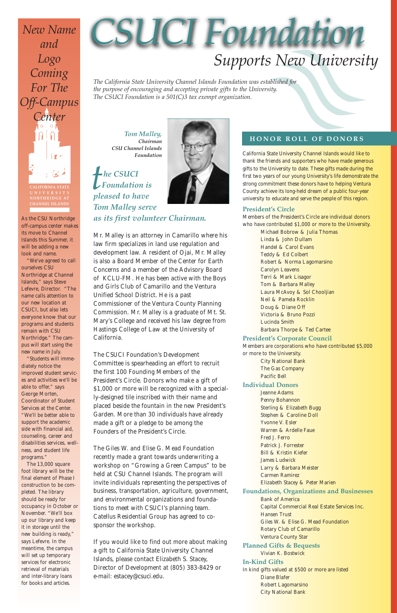*Tom Malley, Chairman CSU Channel Islands Foundation*



*Tom Malley serve as its first volunteer Chairman.*

Mr. Malley is an attorney in Camarillo where his law firm specializes in land use regulation and development law. A resident of Ojai, Mr. Malley is also a Board Member of the Center for Earth Concerns and a member of the Advisory Board of KCLU-FM. He has been active with the Boys and Girls Club of Camarillo and the Ventura Unified School District. He is a past Commissioner of the Ventura County Planning Commission. Mr. Malley is a graduate of Mt. St. Mary's College and received his law degree from Hastings College of Law at the University of California.

The CSUCI Foundation's Development Committee is spearheading an effort to recruit the first 100 Founding Members of the President's Circle. Donors who make a gift of \$1,000 or more will be recognized with a specially-designed tile inscribed with their name and placed beside the fountain in the new President's Garden. More than 30 individuals have already made a gift or a pledge to be among the Founders of the President's Circle.

The Giles W. and Elise G. Mead Foundation recently made a grant towards underwriting a workshop on "Growing a Green Campus" to be held at CSU Channel Islands. The program will invite individuals representing the perspectives of business, transportation, agriculture, government, and environmental organizations and foundations to meet with CSUCI's planning team. Catellus Residential Group has agreed to cosponsor the workshop.

If you would like to find out more about making a gift to California State University Channel Islands, please contact Elizabeth S. Stacey, Director of Development at (805) 383-8429 or e-mail: estacey@csuci.edu.

California State University Channel Islands would like to thank the friends and supporters who have made generous gifts to the University to date. These gifts made during the first two years of our young University's life demonstrate the strong commitment these donors have to helping Ventura County achieve its long-held dream of a public four-year university to educate and serve the people of this region.

### **President's Circle**

Members of the President's Circle are individual donors who have contributed \$1,000 or more to the University.

> *Michael Bobrow & Julia Thomas Linda & John Dullam Handel & Carol Evans Teddy & Ed Colbert Robert & Norma Lagomarsino Carolyn Leavens Terri & Mark Lisagor Tom & Barbara Malley Laura McAvoy & Sol Chooljian Neil & Pamela Rocklin Doug & Diane Off Victoria & Bruno Pozzi Lucinda Smith Barbara Thorpe & Ted Cartee*

### **President's Corporate Council**

Members are corporations who have contributed \$5,000 or more to the University.

> *City National Bank The Gas Company Pacific Bell*

#### **Individual Donors**

*Jeanne Adams Penny Bohannon Sterling & Elizabeth Bugg Stephen & Caroline Doll Yvonne V. Esler Warren & Ardelle Faue Fred J. Ferro Patrick J. Forrester Bill & Kristin Kiefer James Ludwick Larry & Barbara Meister Carmen Ramirez Elizabeth Stacey & Peter Marien* **Foundations, Organizations and Businesses** *Bank of America Capital Commercial Real Estate Services Inc. Hansen Trust Giles W. & Elise G. Mead Foundation Rotary Club of Camarillo Ventura County Star* **Planned Gifts & Bequests** *Vivian K. Bostwick*  **In-Kind Gifts** In kind gifts valued at \$500 or more are listed *Diane Blafer Robert Lagomarsino City National Bank*

*The California State University Channel Islands Foundation was established for the purpose of encouraging and accepting private gifts to the University. The CSUCI Foundation is a 501(C)3 tax exempt organization.*

### **HONOR ROLL OF DONORS**

### *Supports New University*

# *CSUCI Foundation*

**NORTHRIDGE AT CHANNEL ISLANDS**

*New Name and Logo Coming For The Off-Campus Center* 

As the CSU Northridge off-campus center makes its move to Channel Islands this Summer, it will be adding a new look and name.

"We've agreed to call ourselves CSU Northridge at Channel Islands," says Steve Lefevre, Director. "The name calls attention to our new location at CSUCI, but also lets everyone know that our programs and students remain with CSU Northridge." The campus will start using the new name in July.

"Students will immediately notice the improved student services and activities we'll be able to offer," says George Morten, Coordinator of Student Services at the Center. "We'll be better able to support the academic side with financial aid, counseling, career and disabilities services, wellness, and student life

programs."

The 13,000 square foot library will be the final element of Phase I construction to be completed. The library should be ready for occupancy in October or November. "We'll box up our library and keep it in storage until the new building is ready," says Lefevre. In the meantime, the campus will set up temporary services for electronic retrieval of materials and inter-library loans for books and articles.